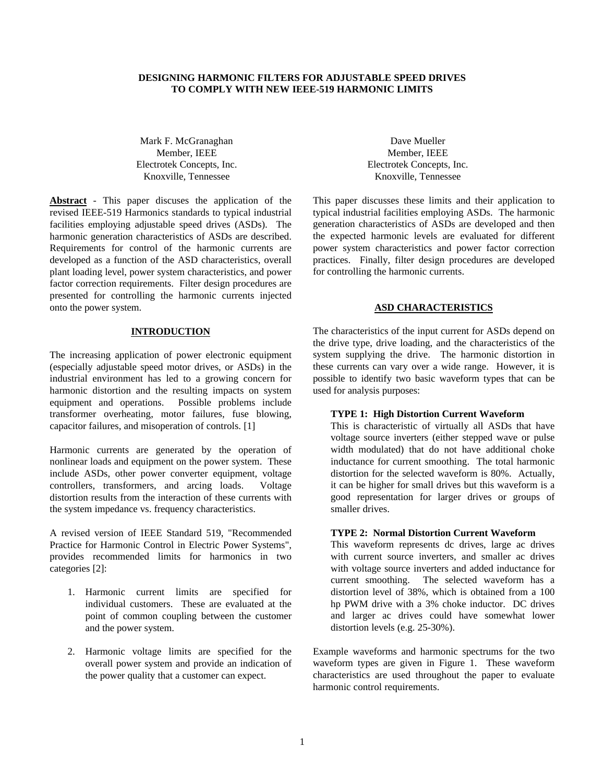## **DESIGNING HARMONIC FILTERS FOR ADJUSTABLE SPEED DRIVES TO COMPLY WITH NEW IEEE-519 HARMONIC LIMITS**

Mark F. McGranaghan Member, IEEE Electrotek Concepts, Inc. Knoxville, Tennessee

**Abstract** - This paper discuses the application of the revised IEEE-519 Harmonics standards to typical industrial facilities employing adjustable speed drives (ASDs). The harmonic generation characteristics of ASDs are described. Requirements for control of the harmonic currents are developed as a function of the ASD characteristics, overall plant loading level, power system characteristics, and power factor correction requirements. Filter design procedures are presented for controlling the harmonic currents injected onto the power system.

## **INTRODUCTION**

The increasing application of power electronic equipment (especially adjustable speed motor drives, or ASDs) in the industrial environment has led to a growing concern for harmonic distortion and the resulting impacts on system equipment and operations. Possible problems include transformer overheating, motor failures, fuse blowing, capacitor failures, and misoperation of controls. [1]

Harmonic currents are generated by the operation of nonlinear loads and equipment on the power system. These include ASDs, other power converter equipment, voltage controllers, transformers, and arcing loads. Voltage distortion results from the interaction of these currents with the system impedance vs. frequency characteristics.

A revised version of IEEE Standard 519, "Recommended Practice for Harmonic Control in Electric Power Systems", provides recommended limits for harmonics in two categories [2]:

- 1. Harmonic current limits are specified for individual customers. These are evaluated at the point of common coupling between the customer and the power system.
- 2. Harmonic voltage limits are specified for the overall power system and provide an indication of the power quality that a customer can expect.

Dave Mueller Member, IEEE Electrotek Concepts, Inc. Knoxville, Tennessee

This paper discusses these limits and their application to typical industrial facilities employing ASDs. The harmonic generation characteristics of ASDs are developed and then the expected harmonic levels are evaluated for different power system characteristics and power factor correction practices. Finally, filter design procedures are developed for controlling the harmonic currents.

#### **ASD CHARACTERISTICS**

The characteristics of the input current for ASDs depend on the drive type, drive loading, and the characteristics of the system supplying the drive. The harmonic distortion in these currents can vary over a wide range. However, it is possible to identify two basic waveform types that can be used for analysis purposes:

#### **TYPE 1: High Distortion Current Waveform**

This is characteristic of virtually all ASDs that have voltage source inverters (either stepped wave or pulse width modulated) that do not have additional choke inductance for current smoothing. The total harmonic distortion for the selected waveform is 80%. Actually, it can be higher for small drives but this waveform is a good representation for larger drives or groups of smaller drives.

#### **TYPE 2: Normal Distortion Current Waveform**

This waveform represents dc drives, large ac drives with current source inverters, and smaller ac drives with voltage source inverters and added inductance for current smoothing. The selected waveform has a distortion level of 38%, which is obtained from a 100 hp PWM drive with a 3% choke inductor. DC drives and larger ac drives could have somewhat lower distortion levels (e.g. 25-30%).

Example waveforms and harmonic spectrums for the two waveform types are given in Figure 1. These waveform characteristics are used throughout the paper to evaluate harmonic control requirements.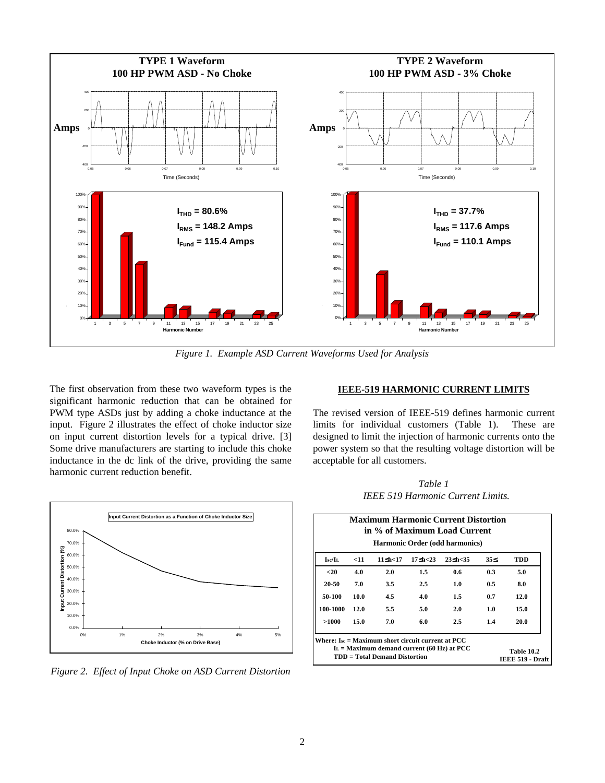

*Figure 1. Example ASD Current Waveforms Used for Analysis*

The first observation from these two waveform types is the significant harmonic reduction that can be obtained for PWM type ASDs just by adding a choke inductance at the input. Figure 2 illustrates the effect of choke inductor size on input current distortion levels for a typical drive. [3] Some drive manufacturers are starting to include this choke inductance in the dc link of the drive, providing the same harmonic current reduction benefit.



*Figure 2. Effect of Input Choke on ASD Current Distortion*

## **IEEE-519 HARMONIC CURRENT LIMITS**

The revised version of IEEE-519 defines harmonic current limits for individual customers (Table 1). These are designed to limit the injection of harmonic currents onto the power system so that the resulting voltage distortion will be acceptable for all customers.

*Table 1 IEEE 519 Harmonic Current Limits.*

| <b>Maximum Harmonic Current Distortion</b><br>in % of Maximum Load Current<br>Harmonic Order (odd harmonics)                            |      |                    |                 |            |     |                                |  |  |  |
|-----------------------------------------------------------------------------------------------------------------------------------------|------|--------------------|-----------------|------------|-----|--------------------------------|--|--|--|
| Isc/I <sub>L</sub>                                                                                                                      | < 11 | $11$ $\leq h < 17$ | $17 \le h < 23$ | $23$ Sh<35 | 35< | TDD                            |  |  |  |
| $20$                                                                                                                                    | 4.0  | 2.0                | 1.5             | 0.6        | 0.3 | 5.0                            |  |  |  |
| 20-50                                                                                                                                   | 7.0  | 3.5                | $2.5^{\circ}$   | 1.0        | 0.5 | 8.0                            |  |  |  |
| 50-100                                                                                                                                  | 10.0 | 4.5                | 4.0             | 1.5        | 0.7 | 12.0                           |  |  |  |
| 100-1000                                                                                                                                | 12.0 | 5.5                | 5.0             | 2.0        | 1.0 | 15.0                           |  |  |  |
| >1000                                                                                                                                   | 15.0 | 7.0                | 6.0             | 2.5        | 1.4 | 20.0                           |  |  |  |
| Where: $I_{sc}$ = Maximum short circuit current at PCC<br>$IL$ = Maximum demand current (60 Hz) at PCC<br>TDD = Total Demand Distortion |      |                    |                 |            |     | Table 10.2<br>IEEE 519 - Draft |  |  |  |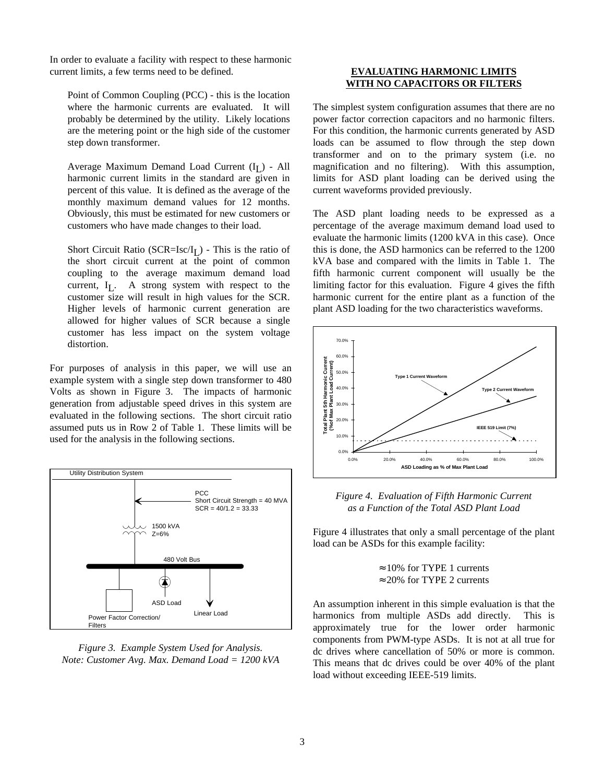In order to evaluate a facility with respect to these harmonic current limits, a few terms need to be defined.

Point of Common Coupling (PCC) - this is the location where the harmonic currents are evaluated. It will probably be determined by the utility. Likely locations are the metering point or the high side of the customer step down transformer.

Average Maximum Demand Load Current (I<sub>L</sub>) - All harmonic current limits in the standard are given in percent of this value. It is defined as the average of the monthly maximum demand values for 12 months. Obviously, this must be estimated for new customers or customers who have made changes to their load.

Short Circuit Ratio (SCR=Isc/I<sub>L</sub>) - This is the ratio of the short circuit current at the point of common coupling to the average maximum demand load current, IL . A strong system with respect to the customer size will result in high values for the SCR. Higher levels of harmonic current generation are allowed for higher values of SCR because a single customer has less impact on the system voltage distortion.

For purposes of analysis in this paper, we will use an example system with a single step down transformer to 480 Volts as shown in Figure 3. The impacts of harmonic generation from adjustable speed drives in this system are evaluated in the following sections. The short circuit ratio assumed puts us in Row 2 of Table 1. These limits will be used for the analysis in the following sections.





# **EVALUATING HARMONIC LIMITS WITH NO CAPACITORS OR FILTERS**

The simplest system configuration assumes that there are no power factor correction capacitors and no harmonic filters. For this condition, the harmonic currents generated by ASD loads can be assumed to flow through the step down transformer and on to the primary system (i.e. no magnification and no filtering). With this assumption, limits for ASD plant loading can be derived using the current waveforms provided previously.

The ASD plant loading needs to be expressed as a percentage of the average maximum demand load used to evaluate the harmonic limits (1200 kVA in this case). Once this is done, the ASD harmonics can be referred to the 1200 kVA base and compared with the limits in Table 1. The fifth harmonic current component will usually be the limiting factor for this evaluation. Figure 4 gives the fifth harmonic current for the entire plant as a function of the plant ASD loading for the two characteristics waveforms.



*Figure 4. Evaluation of Fifth Harmonic Current as a Function of the Total ASD Plant Load*

Figure 4 illustrates that only a small percentage of the plant load can be ASDs for this example facility:

> ≈ 10% for TYPE 1 currents ≈ 20% for TYPE 2 currents

An assumption inherent in this simple evaluation is that the harmonics from multiple ASDs add directly. This is approximately true for the lower order harmonic components from PWM-type ASDs. It is not at all true for dc drives where cancellation of 50% or more is common. This means that dc drives could be over 40% of the plant load without exceeding IEEE-519 limits.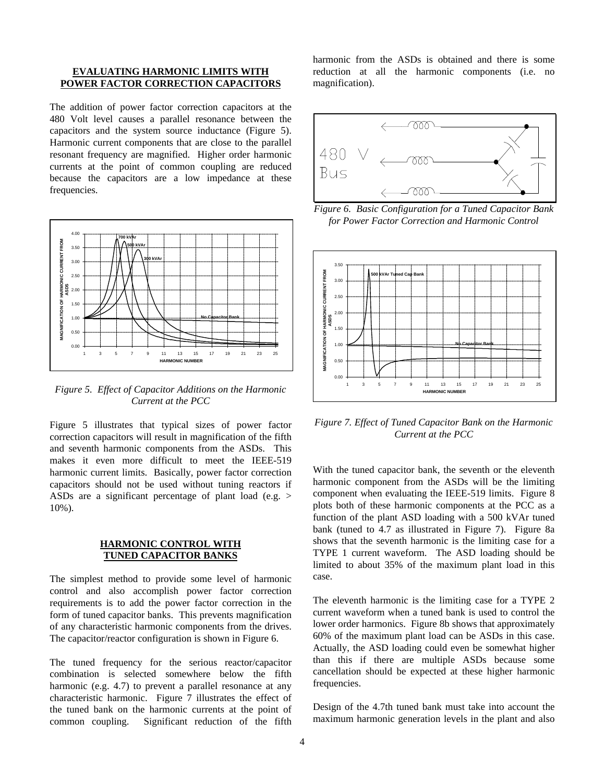## **EVALUATING HARMONIC LIMITS WITH POWER FACTOR CORRECTION CAPACITORS**

The addition of power factor correction capacitors at the 480 Volt level causes a parallel resonance between the capacitors and the system source inductance (Figure 5). Harmonic current components that are close to the parallel resonant frequency are magnified. Higher order harmonic currents at the point of common coupling are reduced because the capacitors are a low impedance at these frequencies.



*Figure 5. Effect of Capacitor Additions on the Harmonic Current at the PCC*

Figure 5 illustrates that typical sizes of power factor correction capacitors will result in magnification of the fifth and seventh harmonic components from the ASDs. This makes it even more difficult to meet the IEEE-519 harmonic current limits. Basically, power factor correction capacitors should not be used without tuning reactors if ASDs are a significant percentage of plant load (e.g. > 10%).

## **HARMONIC CONTROL WITH TUNED CAPACITOR BANKS**

The simplest method to provide some level of harmonic control and also accomplish power factor correction requirements is to add the power factor correction in the form of tuned capacitor banks. This prevents magnification of any characteristic harmonic components from the drives. The capacitor/reactor configuration is shown in Figure 6.

The tuned frequency for the serious reactor/capacitor combination is selected somewhere below the fifth harmonic (e.g. 4.7) to prevent a parallel resonance at any characteristic harmonic. Figure 7 illustrates the effect of the tuned bank on the harmonic currents at the point of common coupling. Significant reduction of the fifth

harmonic from the ASDs is obtained and there is some reduction at all the harmonic components (i.e. no magnification).



*Figure 6. Basic Configuration for a Tuned Capacitor Bank for Power Factor Correction and Harmonic Control*



*Figure 7. Effect of Tuned Capacitor Bank on the Harmonic Current at the PCC*

With the tuned capacitor bank, the seventh or the eleventh harmonic component from the ASDs will be the limiting component when evaluating the IEEE-519 limits. Figure 8 plots both of these harmonic components at the PCC as a function of the plant ASD loading with a 500 kVAr tuned bank (tuned to 4.7 as illustrated in Figure 7). Figure 8a shows that the seventh harmonic is the limiting case for a TYPE 1 current waveform. The ASD loading should be limited to about 35% of the maximum plant load in this case.

The eleventh harmonic is the limiting case for a TYPE 2 current waveform when a tuned bank is used to control the lower order harmonics. Figure 8b shows that approximately 60% of the maximum plant load can be ASDs in this case. Actually, the ASD loading could even be somewhat higher than this if there are multiple ASDs because some cancellation should be expected at these higher harmonic frequencies.

Design of the 4.7th tuned bank must take into account the maximum harmonic generation levels in the plant and also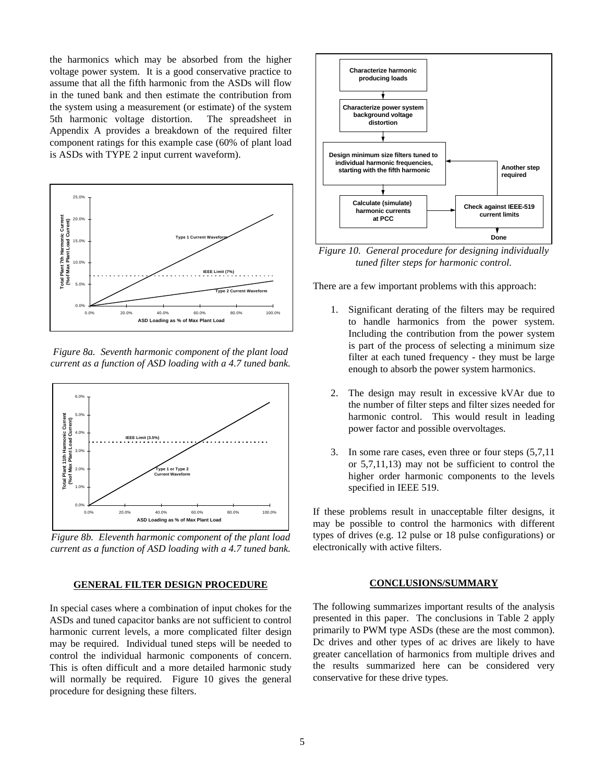the harmonics which may be absorbed from the higher voltage power system. It is a good conservative practice to assume that all the fifth harmonic from the ASDs will flow in the tuned bank and then estimate the contribution from the system using a measurement (or estimate) of the system 5th harmonic voltage distortion. The spreadsheet in Appendix A provides a breakdown of the required filter component ratings for this example case (60% of plant load is ASDs with TYPE 2 input current waveform).



*Figure 8a. Seventh harmonic component of the plant load current as a function of ASD loading with a 4.7 tuned bank.*



*Figure 8b. Eleventh harmonic component of the plant load current as a function of ASD loading with a 4.7 tuned bank.*

#### **GENERAL FILTER DESIGN PROCEDURE**

In special cases where a combination of input chokes for the ASDs and tuned capacitor banks are not sufficient to control harmonic current levels, a more complicated filter design may be required. Individual tuned steps will be needed to control the individual harmonic components of concern. This is often difficult and a more detailed harmonic study will normally be required. Figure 10 gives the general procedure for designing these filters.



*Figure 10. General procedure for designing individually tuned filter steps for harmonic control.*

There are a few important problems with this approach:

- 1. Significant derating of the filters may be required to handle harmonics from the power system. Including the contribution from the power system is part of the process of selecting a minimum size filter at each tuned frequency - they must be large enough to absorb the power system harmonics.
- 2. The design may result in excessive kVAr due to the number of filter steps and filter sizes needed for harmonic control. This would result in leading power factor and possible overvoltages.
- 3. In some rare cases, even three or four steps (5,7,11 or 5,7,11,13) may not be sufficient to control the higher order harmonic components to the levels specified in IEEE 519.

If these problems result in unacceptable filter designs, it may be possible to control the harmonics with different types of drives (e.g. 12 pulse or 18 pulse configurations) or electronically with active filters.

### **CONCLUSIONS/SUMMARY**

The following summarizes important results of the analysis presented in this paper. The conclusions in Table 2 apply primarily to PWM type ASDs (these are the most common). Dc drives and other types of ac drives are likely to have greater cancellation of harmonics from multiple drives and the results summarized here can be considered very conservative for these drive types.